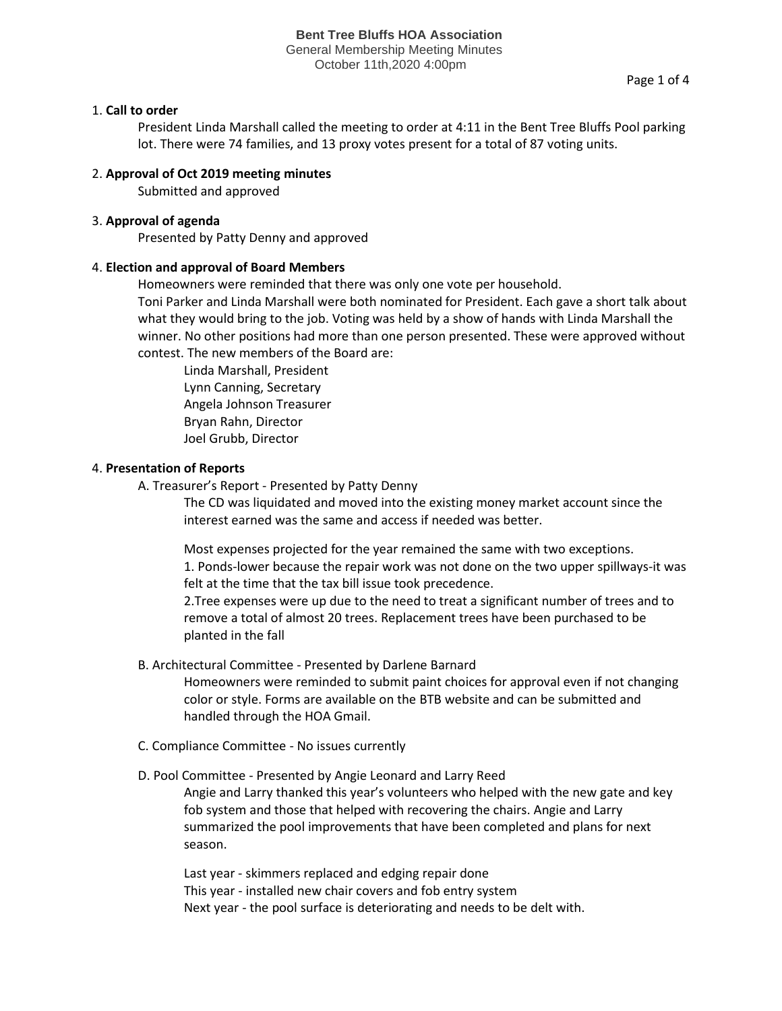General Membership Meeting Minutes October 11th,2020 4:00pm

## 1. **Call to order**

President Linda Marshall called the meeting to order at 4:11 in the Bent Tree Bluffs Pool parking lot. There were 74 families, and 13 proxy votes present for a total of 87 voting units.

# 2. **Approval of Oct 2019 meeting minutes**

Submitted and approved

# 3. **Approval of agenda**

Presented by Patty Denny and approved

## 4. **Election and approval of Board Members**

Homeowners were reminded that there was only one vote per household.

Toni Parker and Linda Marshall were both nominated for President. Each gave a short talk about what they would bring to the job. Voting was held by a show of hands with Linda Marshall the winner. No other positions had more than one person presented. These were approved without contest. The new members of the Board are:

 Linda Marshall, President Lynn Canning, Secretary Angela Johnson Treasurer Bryan Rahn, Director Joel Grubb, Director

## 4. **Presentation of Reports**

A. Treasurer's Report - Presented by Patty Denny

The CD was liquidated and moved into the existing money market account since the interest earned was the same and access if needed was better.

Most expenses projected for the year remained the same with two exceptions. 1. Ponds-lower because the repair work was not done on the two upper spillways-it was felt at the time that the tax bill issue took precedence.

2.Tree expenses were up due to the need to treat a significant number of trees and to remove a total of almost 20 trees. Replacement trees have been purchased to be planted in the fall

B. Architectural Committee - Presented by Darlene Barnard

Homeowners were reminded to submit paint choices for approval even if not changing color or style. Forms are available on the BTB website and can be submitted and handled through the HOA Gmail.

- C. Compliance Committee No issues currently
- D. Pool Committee Presented by Angie Leonard and Larry Reed

Angie and Larry thanked this year's volunteers who helped with the new gate and key fob system and those that helped with recovering the chairs. Angie and Larry summarized the pool improvements that have been completed and plans for next season.

Last year - skimmers replaced and edging repair done This year - installed new chair covers and fob entry system Next year - the pool surface is deteriorating and needs to be delt with.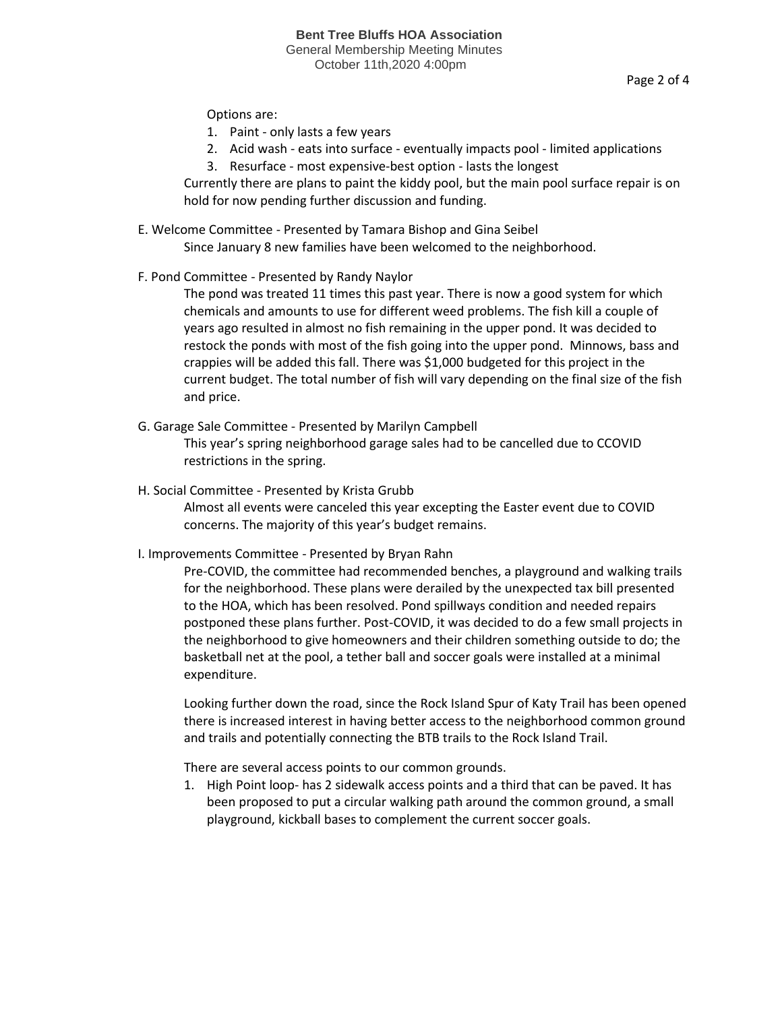Page 2 of 4

Options are:

- 1. Paint only lasts a few years
- 2. Acid wash eats into surface eventually impacts pool limited applications
- 3. Resurface most expensive-best option lasts the longest

Currently there are plans to paint the kiddy pool, but the main pool surface repair is on hold for now pending further discussion and funding.

- E. Welcome Committee Presented by Tamara Bishop and Gina Seibel Since January 8 new families have been welcomed to the neighborhood.
- F. Pond Committee Presented by Randy Naylor

The pond was treated 11 times this past year. There is now a good system for which chemicals and amounts to use for different weed problems. The fish kill a couple of years ago resulted in almost no fish remaining in the upper pond. It was decided to restock the ponds with most of the fish going into the upper pond. Minnows, bass and crappies will be added this fall. There was \$1,000 budgeted for this project in the current budget. The total number of fish will vary depending on the final size of the fish and price.

- G. Garage Sale Committee Presented by Marilyn Campbell This year's spring neighborhood garage sales had to be cancelled due to CCOVID restrictions in the spring.
- H. Social Committee Presented by Krista Grubb

Almost all events were canceled this year excepting the Easter event due to COVID concerns. The majority of this year's budget remains.

I. Improvements Committee - Presented by Bryan Rahn

Pre-COVID, the committee had recommended benches, a playground and walking trails for the neighborhood. These plans were derailed by the unexpected tax bill presented to the HOA, which has been resolved. Pond spillways condition and needed repairs postponed these plans further. Post-COVID, it was decided to do a few small projects in the neighborhood to give homeowners and their children something outside to do; the basketball net at the pool, a tether ball and soccer goals were installed at a minimal expenditure.

Looking further down the road, since the Rock Island Spur of Katy Trail has been opened there is increased interest in having better access to the neighborhood common ground and trails and potentially connecting the BTB trails to the Rock Island Trail.

There are several access points to our common grounds.

1. High Point loop- has 2 sidewalk access points and a third that can be paved. It has been proposed to put a circular walking path around the common ground, a small playground, kickball bases to complement the current soccer goals.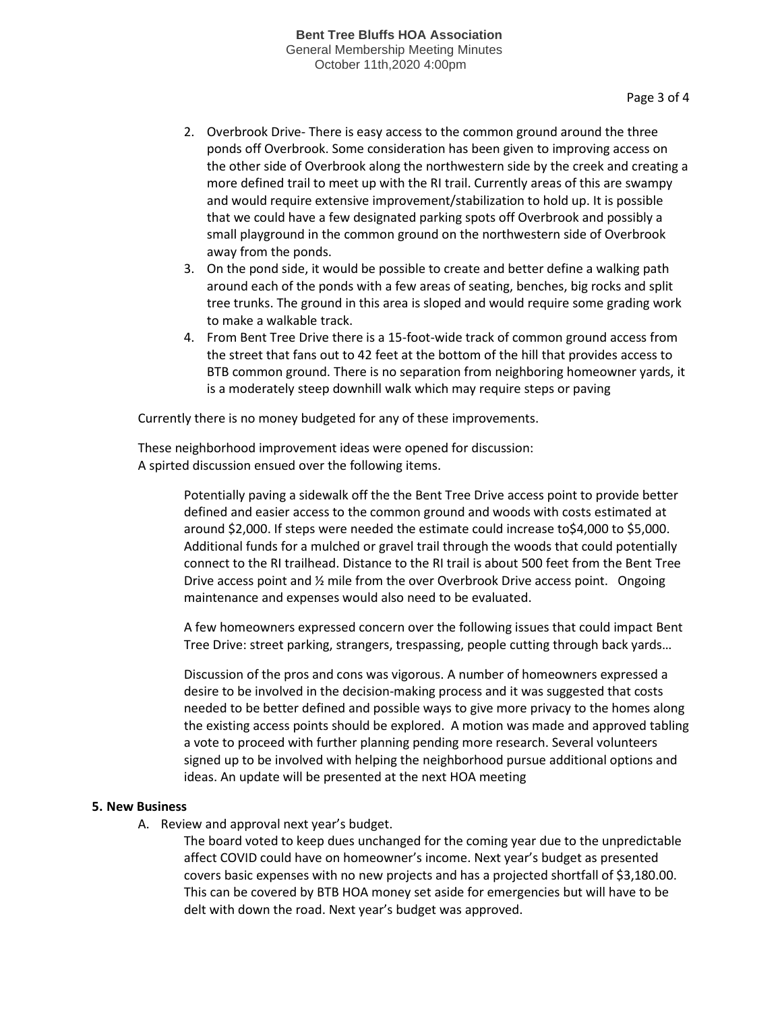- 2. Overbrook Drive- There is easy access to the common ground around the three ponds off Overbrook. Some consideration has been given to improving access on the other side of Overbrook along the northwestern side by the creek and creating a more defined trail to meet up with the RI trail. Currently areas of this are swampy and would require extensive improvement/stabilization to hold up. It is possible that we could have a few designated parking spots off Overbrook and possibly a small playground in the common ground on the northwestern side of Overbrook away from the ponds.
- 3. On the pond side, it would be possible to create and better define a walking path around each of the ponds with a few areas of seating, benches, big rocks and split tree trunks. The ground in this area is sloped and would require some grading work to make a walkable track.
- 4. From Bent Tree Drive there is a 15-foot-wide track of common ground access from the street that fans out to 42 feet at the bottom of the hill that provides access to BTB common ground. There is no separation from neighboring homeowner yards, it is a moderately steep downhill walk which may require steps or paving

Currently there is no money budgeted for any of these improvements.

These neighborhood improvement ideas were opened for discussion: A spirted discussion ensued over the following items.

> Potentially paving a sidewalk off the the Bent Tree Drive access point to provide better defined and easier access to the common ground and woods with costs estimated at around \$2,000. If steps were needed the estimate could increase to\$4,000 to \$5,000. Additional funds for a mulched or gravel trail through the woods that could potentially connect to the RI trailhead. Distance to the RI trail is about 500 feet from the Bent Tree Drive access point and ½ mile from the over Overbrook Drive access point. Ongoing maintenance and expenses would also need to be evaluated.

> A few homeowners expressed concern over the following issues that could impact Bent Tree Drive: street parking, strangers, trespassing, people cutting through back yards…

> Discussion of the pros and cons was vigorous. A number of homeowners expressed a desire to be involved in the decision-making process and it was suggested that costs needed to be better defined and possible ways to give more privacy to the homes along the existing access points should be explored. A motion was made and approved tabling a vote to proceed with further planning pending more research. Several volunteers signed up to be involved with helping the neighborhood pursue additional options and ideas. An update will be presented at the next HOA meeting

## **5. New Business**

A. Review and approval next year's budget.

The board voted to keep dues unchanged for the coming year due to the unpredictable affect COVID could have on homeowner's income. Next year's budget as presented covers basic expenses with no new projects and has a projected shortfall of \$3,180.00. This can be covered by BTB HOA money set aside for emergencies but will have to be delt with down the road. Next year's budget was approved.